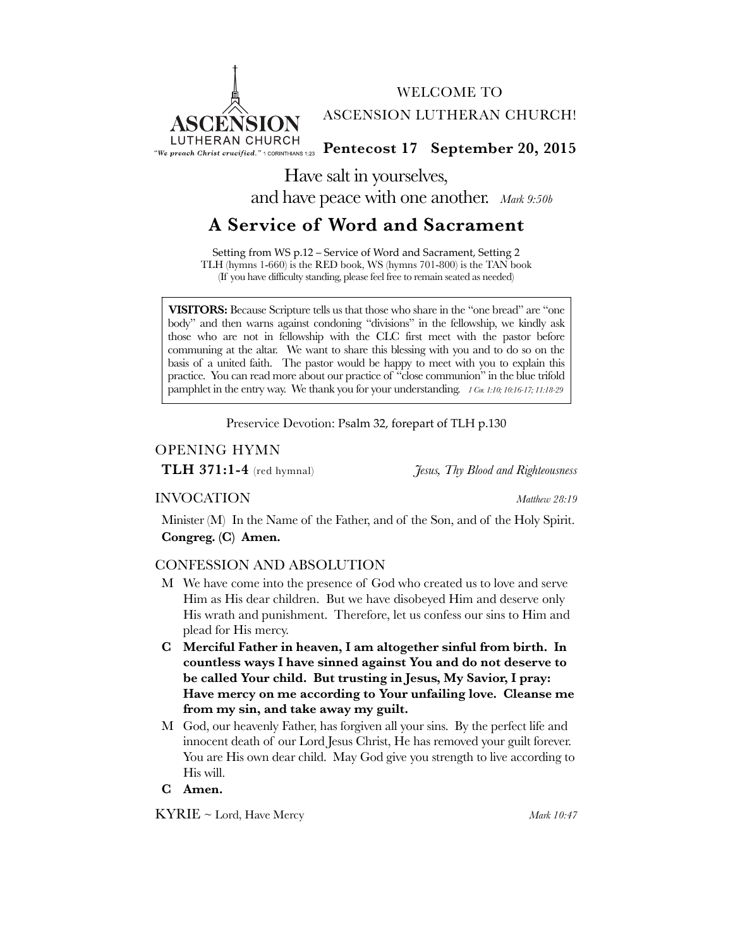

WELCOME TO ASCENSION LUTHERAN CHURCH!

**Figure 20, 2015** The Preach Christ crucified." 1 CORINTHIANS 1:23 Pentecost 17 September 20, 2015

Have salt in yourselves, and have peace with one another. *Mark 9:50b*

# **A Service of Word and Sacrament**

Setting from WS p.12 – Service of Word and Sacrament, Setting 2 TLH (hymns 1-660) is the RED book, WS (hymns 701-800) is the TAN book (If you have difficulty standing, please feel free to remain seated as needed)

**VISITORS:** Because Scripture tells us that those who share in the "one bread" are "one body" and then warns against condoning "divisions" in the fellowship, we kindly ask those who are not in fellowship with the CLC first meet with the pastor before communing at the altar. We want to share this blessing with you and to do so on the basis of a united faith. The pastor would be happy to meet with you to explain this practice. You can read more about our practice of "close communion" in the blue trifold pamphlet in the entry way. We thank you for your understanding. *1 Cor. 1:10; 10:16-17; 11:18-29*

Preservice Devotion: Psalm 32, forepart of TLH p.130

## OPENING HYMN

**TLH 371:1-4** (red hymnal) *Jesus, Thy Blood and Righteousness*

## INVOCATION *Matthew 28:19*

Minister (M) In the Name of the Father, and of the Son, and of the Holy Spirit. **Congreg. (C) Amen.**

## CONFESSION AND ABSOLUTION

- M We have come into the presence of God who created us to love and serve Him as His dear children. But we have disobeyed Him and deserve only His wrath and punishment. Therefore, let us confess our sins to Him and plead for His mercy.
- **C Merciful Father in heaven, I am altogether sinful from birth. In countless ways I have sinned against You and do not deserve to be called Your child. But trusting in Jesus, My Savior, I pray: Have mercy on me according to Your unfailing love. Cleanse me from my sin, and take away my guilt.**
- M God, our heavenly Father, has forgiven all your sins. By the perfect life and innocent death of our Lord Jesus Christ, He has removed your guilt forever. You are His own dear child. May God give you strength to live according to His will.

## **C Amen.**

KYRIE ~ Lord, Have Mercy *Mark 10:47*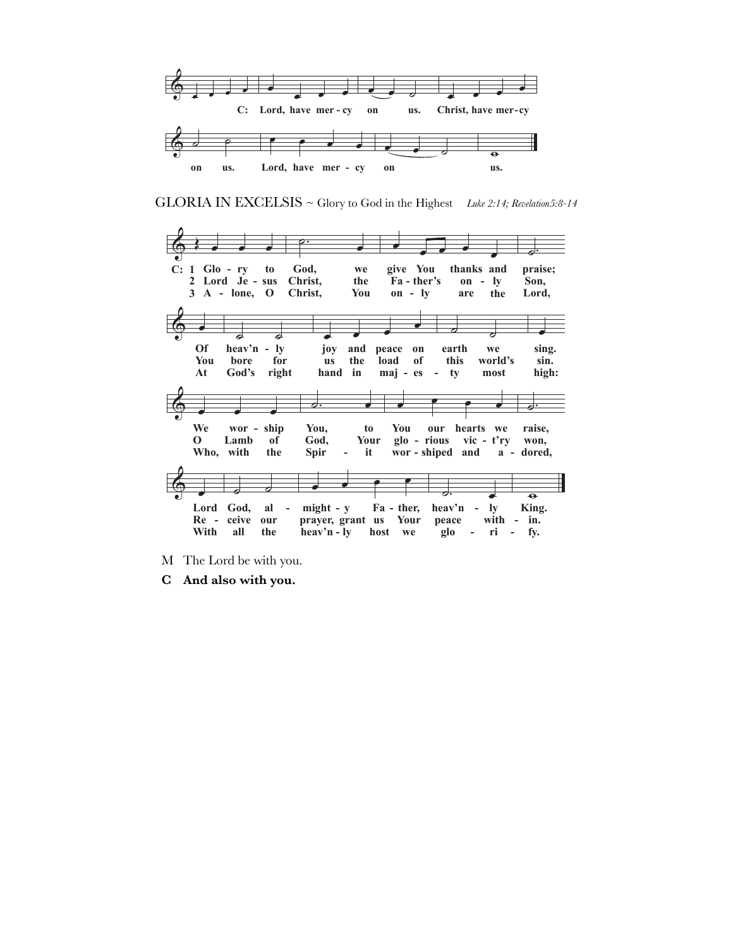

GLORIA IN EXCELSIS ~ Glory to God in the Highest Luke 2:14; Revelation5:8-14



- M The Lord be with you.
- $\bf C$ And also with you.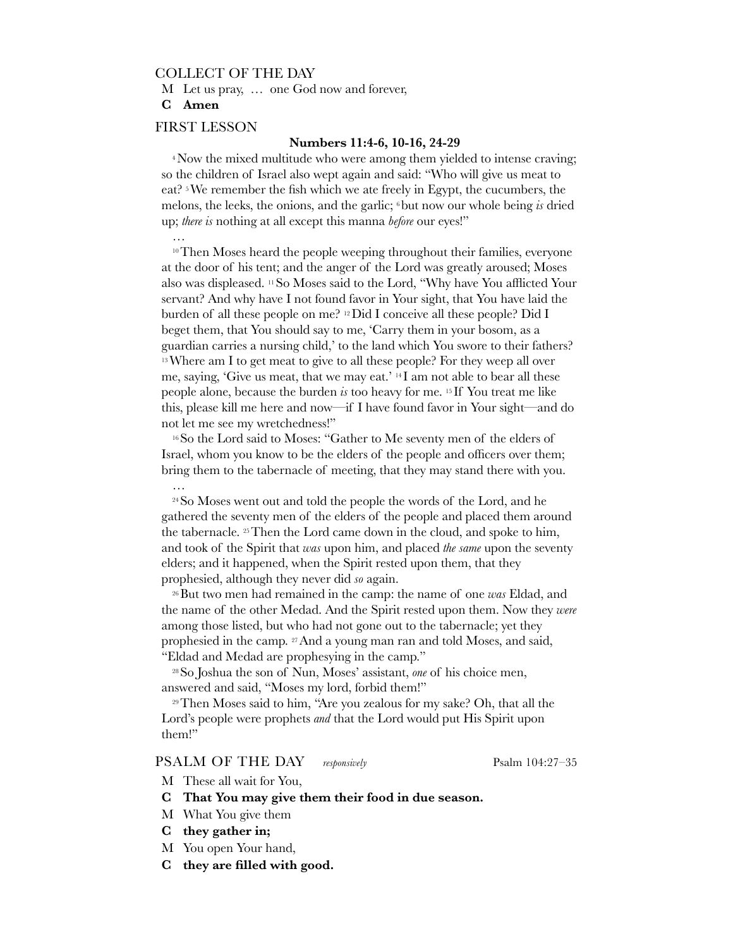## COLLECT OF THE DAY

M Let us pray, … one God now and forever,

**C Amen**

…

#### FIRST LESSON

#### **Numbers 11:4-6, 10-16, 24-29**

<sup>4</sup>Now the mixed multitude who were among them yielded to intense craving; so the children of Israel also wept again and said: "Who will give us meat to eat? 5We remember the fish which we ate freely in Egypt, the cucumbers, the melons, the leeks, the onions, and the garlic; 6but now our whole being *is* dried up; *there is* nothing at all except this manna *before* our eyes!"

 $10$  Then Moses heard the people weeping throughout their families, everyone at the door of his tent; and the anger of the Lord was greatly aroused; Moses also was displeased. 11So Moses said to the Lord, "Why have You afflicted Your servant? And why have I not found favor in Your sight, that You have laid the burden of all these people on me? 12Did I conceive all these people? Did I beget them, that You should say to me, 'Carry them in your bosom, as a guardian carries a nursing child,' to the land which You swore to their fathers? <sup>13</sup> Where am I to get meat to give to all these people? For they weep all over me, saying, 'Give us meat, that we may eat.' 14 I am not able to bear all these people alone, because the burden *is* too heavy for me. 15 If You treat me like this, please kill me here and now—if I have found favor in Your sight—and do not let me see my wretchedness!"

16So the Lord said to Moses: "Gather to Me seventy men of the elders of Israel, whom you know to be the elders of the people and officers over them; bring them to the tabernacle of meeting, that they may stand there with you. …

24So Moses went out and told the people the words of the Lord, and he gathered the seventy men of the elders of the people and placed them around the tabernacle. 25Then the Lord came down in the cloud, and spoke to him, and took of the Spirit that *was* upon him, and placed *the same* upon the seventy elders; and it happened, when the Spirit rested upon them, that they prophesied, although they never did *so* again.

26But two men had remained in the camp: the name of one *was* Eldad, and the name of the other Medad. And the Spirit rested upon them. Now they *were* among those listed, but who had not gone out to the tabernacle; yet they prophesied in the camp. 27And a young man ran and told Moses, and said, "Eldad and Medad are prophesying in the camp."

28So Joshua the son of Nun, Moses' assistant, *one* of his choice men, answered and said, "Moses my lord, forbid them!"

29Then Moses said to him, "Are you zealous for my sake? Oh, that all the Lord's people were prophets *and* that the Lord would put His Spirit upon them!"

### PSALM OF THE DAY *responsively* Psalm 104:27–35

- M These all wait for You,
- **C That You may give them their food in due season.**
- M What You give them
- **C they gather in;**
- M You open Your hand,
- **C they are filled with good.**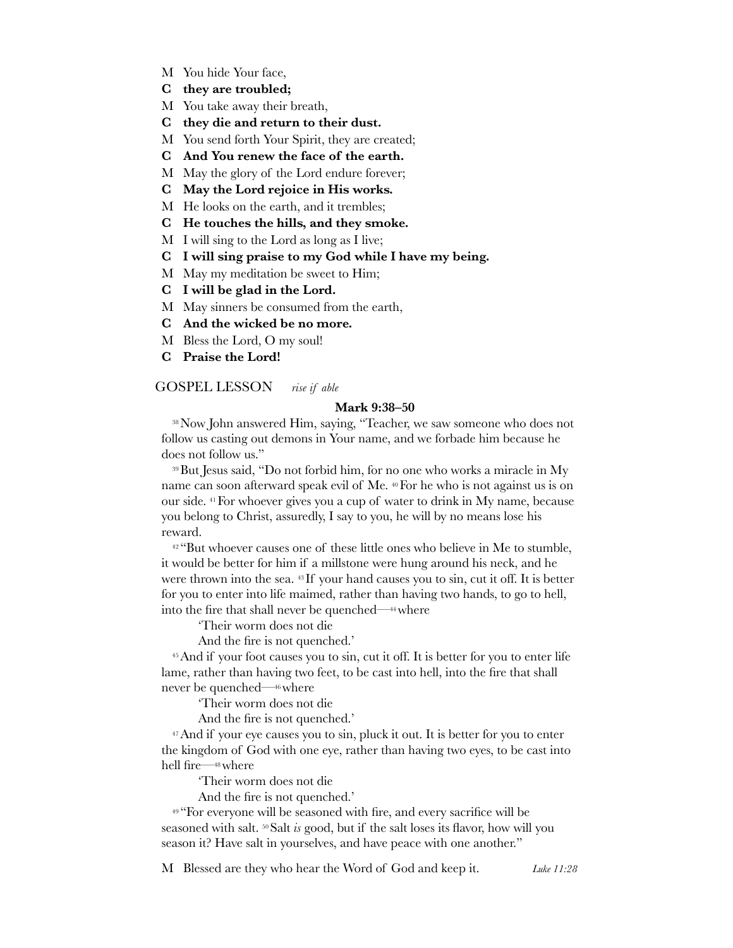- M You hide Your face,
- **C they are troubled;**
- M You take away their breath,
- **C they die and return to their dust.**
- M You send forth Your Spirit, they are created;
- **C And You renew the face of the earth.**
- M May the glory of the Lord endure forever;
- **C May the Lord rejoice in His works.**
- M He looks on the earth, and it trembles;
- **C He touches the hills, and they smoke.**
- M I will sing to the Lord as long as I live;
- **C I will sing praise to my God while I have my being.**
- M May my meditation be sweet to Him;
- **C I will be glad in the Lord.**
- M May sinners be consumed from the earth,
- **C And the wicked be no more.**
- M Bless the Lord, O my soul!
- **C Praise the Lord!**

#### GOSPEL LESSON *rise if able*

#### **Mark 9:38–50**

38Now John answered Him, saying, "Teacher, we saw someone who does not follow us casting out demons in Your name, and we forbade him because he does not follow us."

39But Jesus said, "Do not forbid him, for no one who works a miracle in My name can soon afterward speak evil of Me. 40For he who is not against us is on our side. 41For whoever gives you a cup of water to drink in My name, because you belong to Christ, assuredly, I say to you, he will by no means lose his reward.

 $42$  "But whoever causes one of these little ones who believe in Me to stumble, it would be better for him if a millstone were hung around his neck, and he were thrown into the sea. 43 If your hand causes you to sin, cut it off. It is better for you to enter into life maimed, rather than having two hands, to go to hell, into the fire that shall never be quenched—44where

'Their worm does not die

And the fire is not quenched.'

45And if your foot causes you to sin, cut it off. It is better for you to enter life lame, rather than having two feet, to be cast into hell, into the fire that shall never be quenched—46where

'Their worm does not die

And the fire is not quenched.'

<sup>47</sup>And if your eye causes you to sin, pluck it out. It is better for you to enter the kingdom of God with one eye, rather than having two eyes, to be cast into hell fire—48where

'Their worm does not die

And the fire is not quenched.'

<sup>49</sup> "For everyone will be seasoned with fire, and every sacrifice will be seasoned with salt. 50Salt *is* good, but if the salt loses its flavor, how will you season it? Have salt in yourselves, and have peace with one another."

M Blessed are they who hear the Word of God and keep it. *Luke 11:28*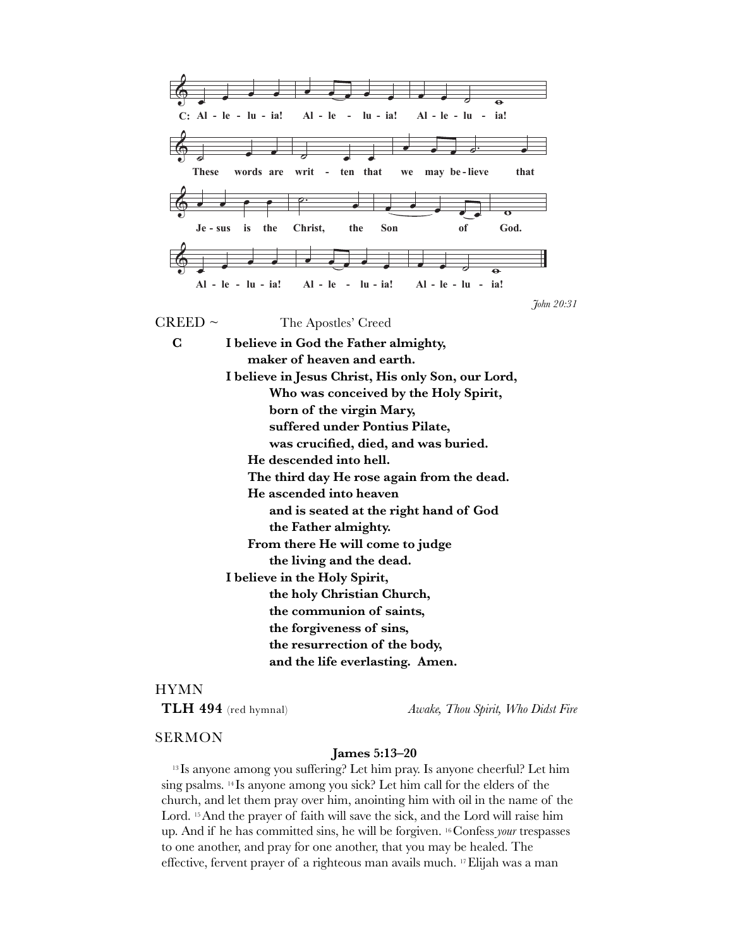

### **HYMN**

TLH 494 (red hymnal)

Awake, Thou Spirit, Who Didst Fire

### **SERMON**

#### James 5:13-20

<sup>13</sup> Is anyone among you suffering? Let him pray. Is anyone cheerful? Let him sing psalms. <sup>14</sup> Is anyone among you sick? Let him call for the elders of the church, and let them pray over him, anointing him with oil in the name of the Lord.<sup>15</sup> And the prayer of faith will save the sick, and the Lord will raise him up. And if he has committed sins, he will be forgiven. <sup>16</sup> Confess your trespasses to one another, and pray for one another, that you may be healed. The effective, fervent prayer of a righteous man avails much. <sup>17</sup> Elijah was a man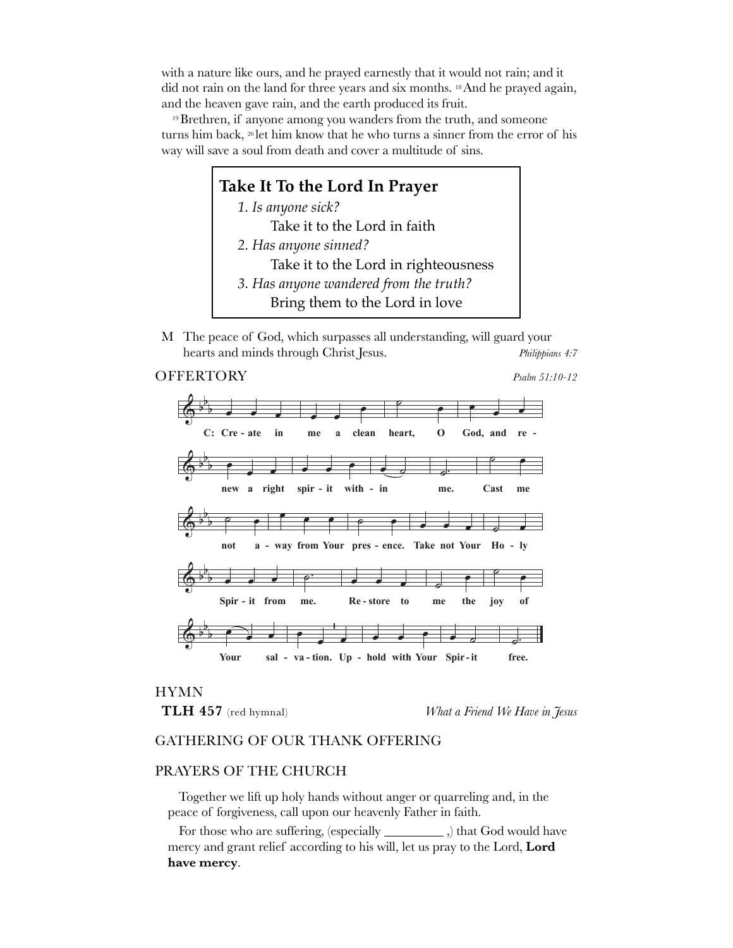with a nature like ours, and he prayed earnestly that it would not rain; and it did not rain on the land for three years and six months. 18And he prayed again, and the heaven gave rain, and the earth produced its fruit.

<sup>19</sup>Brethren, if anyone among you wanders from the truth, and someone turns him back, 20 let him know that he who turns a sinner from the error of his way will save a soul from death and cover a multitude of sins.

## **Take It To the Lord In Prayer**

*1. Is anyone sick?*  Take it to the Lord in faith *2. Has anyone sinned?*  Take it to the Lord in righteousness *3. Has anyone wandered from the truth?* 

Bring them to the Lord in love

M The peace of God, which surpasses all understanding, will guard your hearts and minds through Christ Jesus. *Philippians 4:7*

## OFFERTORY *Psalm 51:10-12* OFFERTORY



## HYMN

TLH 457 (red hymnal)

What a Friend We Have in Jesus

## GATHERING OF OUR THANK OFFERING

## PRAYERS OF THE CHURCH

Together we lift up holy hands without anger or quarreling and, in the peace of forgiveness, call upon our heavenly Father in faith.

For those who are suffering, (especially \_\_\_\_\_\_\_\_\_ ,) that God would have mercy and grant relief according to his will, let us pray to the Lord, **Lord have mercy**.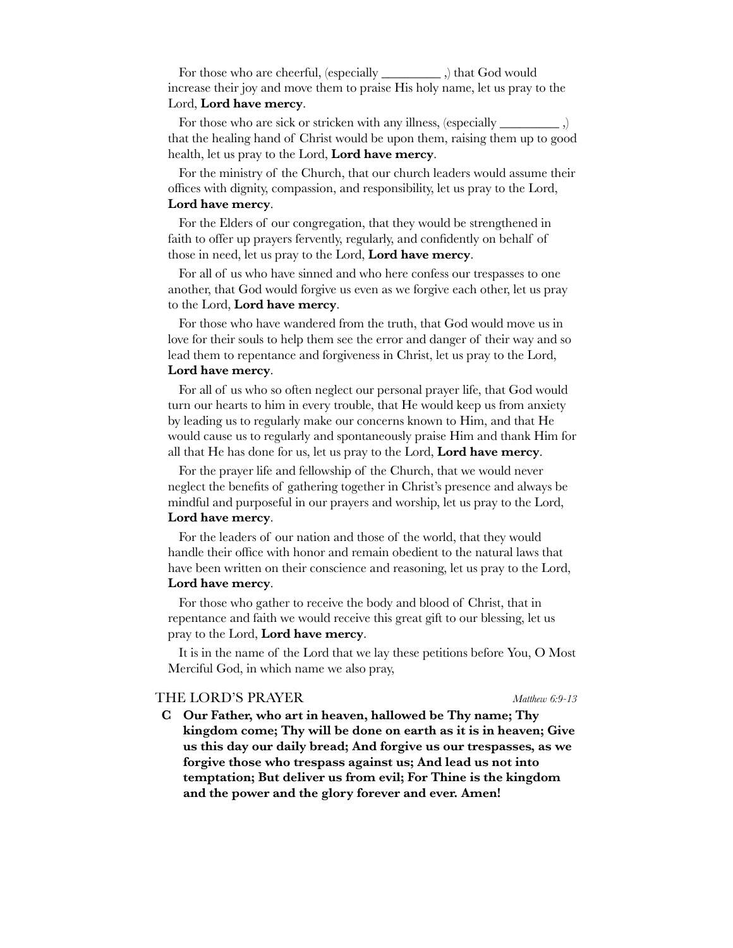For those who are cheerful, (especially \_\_\_\_\_\_\_\_\_ ,) that God would increase their joy and move them to praise His holy name, let us pray to the Lord, **Lord have mercy**.

For those who are sick or stricken with any illness, (especially \_\_\_\_\_\_\_\_\_\_\_\_\_\_,) that the healing hand of Christ would be upon them, raising them up to good health, let us pray to the Lord, **Lord have mercy**.

For the ministry of the Church, that our church leaders would assume their offices with dignity, compassion, and responsibility, let us pray to the Lord, **Lord have mercy**.

For the Elders of our congregation, that they would be strengthened in faith to offer up prayers fervently, regularly, and confidently on behalf of those in need, let us pray to the Lord, **Lord have mercy**.

For all of us who have sinned and who here confess our trespasses to one another, that God would forgive us even as we forgive each other, let us pray to the Lord, **Lord have mercy**.

For those who have wandered from the truth, that God would move us in love for their souls to help them see the error and danger of their way and so lead them to repentance and forgiveness in Christ, let us pray to the Lord, **Lord have mercy**.

For all of us who so often neglect our personal prayer life, that God would turn our hearts to him in every trouble, that He would keep us from anxiety by leading us to regularly make our concerns known to Him, and that He would cause us to regularly and spontaneously praise Him and thank Him for all that He has done for us, let us pray to the Lord, **Lord have mercy**.

For the prayer life and fellowship of the Church, that we would never neglect the benefits of gathering together in Christ's presence and always be mindful and purposeful in our prayers and worship, let us pray to the Lord, **Lord have mercy**.

For the leaders of our nation and those of the world, that they would handle their office with honor and remain obedient to the natural laws that have been written on their conscience and reasoning, let us pray to the Lord,

#### **Lord have mercy**.

For those who gather to receive the body and blood of Christ, that in repentance and faith we would receive this great gift to our blessing, let us pray to the Lord, **Lord have mercy**.

It is in the name of the Lord that we lay these petitions before You, O Most Merciful God, in which name we also pray,

### THE LORD'S PRAYER *Matthew 6:9-13*

**C Our Father, who art in heaven, hallowed be Thy name; Thy kingdom come; Thy will be done on earth as it is in heaven; Give us this day our daily bread; And forgive us our trespasses, as we forgive those who trespass against us; And lead us not into temptation; But deliver us from evil; For Thine is the kingdom and the power and the glory forever and ever. Amen!**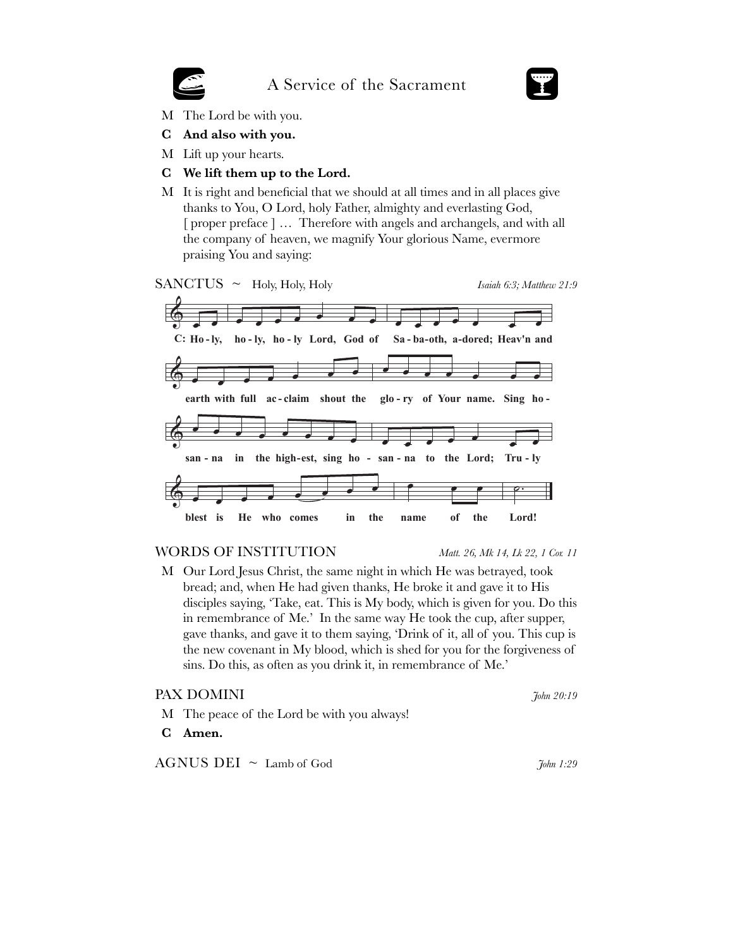## A Service of the Sacrament



- M The Lord be with you.
- C And also with you.
- M Lift up your hearts.
- C We lift them up to the Lord.
- M It is right and beneficial that we should at all times and in all places give thanks to You, O Lord, holy Father, almighty and everlasting God, [proper preface] ... Therefore with angels and archangels, and with all the company of heaven, we magnify Your glorious Name, evermore praising You and saying:







### **WORDS OF INSTITUTION**

Matt. 26, Mk 14, Lk 22, 1 Cor. 11

M Our Lord Jesus Christ, the same night in which He was betrayed, took bread; and, when He had given thanks, He broke it and gave it to His disciples saying, 'Take, eat. This is My body, which is given for you. Do this in remembrance of Me.' In the same way He took the cup, after supper, gave thanks, and gave it to them saying, 'Drink of it, all of you. This cup is the new covenant in My blood, which is shed for you for the forgiveness of sins. Do this, as often as you drink it, in remembrance of Me.'

## PAX DOMINI

- M The peace of the Lord be with you always!
- $\mathbf C$ Amen.

 $AGNUS$  DEI  $\sim$  Lamb of God

John 1:29

John 20:19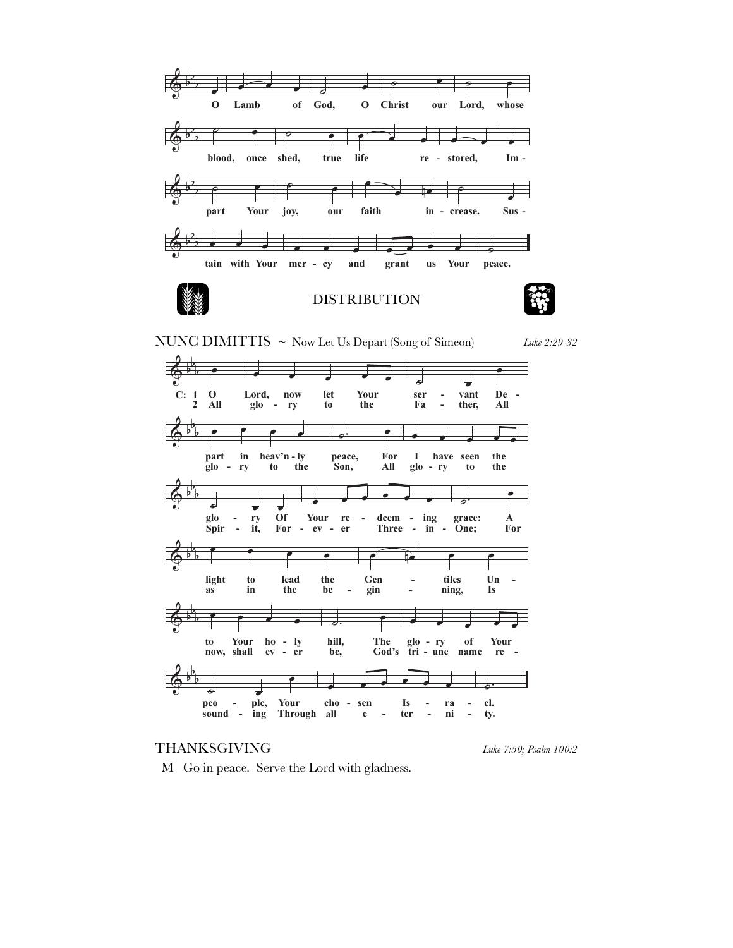

NUNC DIMITTIS ~ Now Let Us Depart (Song of Simeon)

Luke 2:29-32



## **THANKSGIVING**

Luke 7:50; Psalm 100:2

M Go in peace. Serve the Lord with gladness.